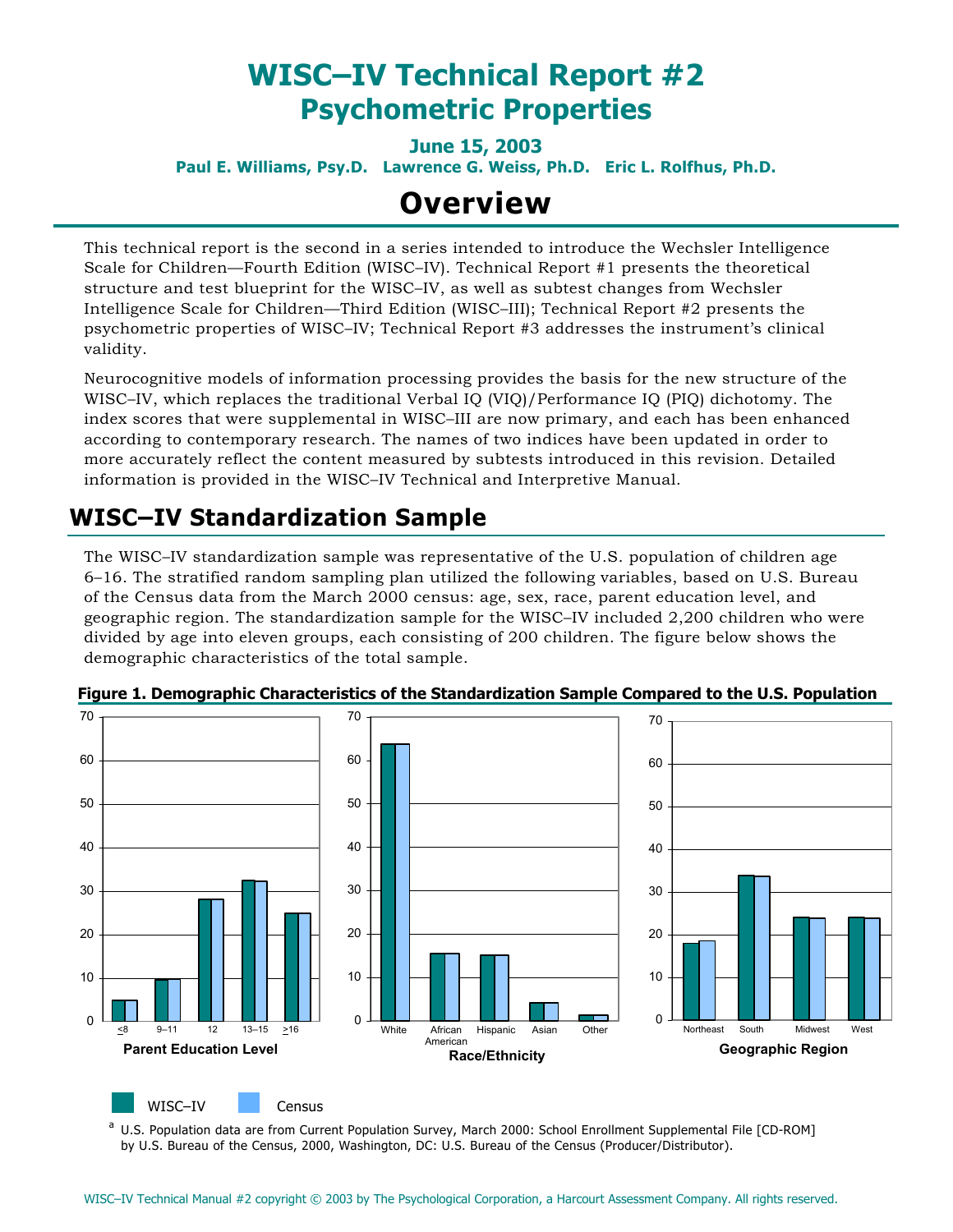# **WISC–IV Technical Report #2 Psychometric Properties**

**June 15, 2003 Paul E. Williams, Psy.D. Lawrence G. Weiss, Ph.D. Eric L. Rolfhus, Ph.D.** 

# **Overview**

This technical report is the second in a series intended to introduce the Wechsler Intelligence Scale for Children—Fourth Edition (WISC–IV). Technical Report #1 presents the theoretical structure and test blueprint for the WISC–IV, as well as subtest changes from Wechsler Intelligence Scale for Children—Third Edition (WISC–III); Technical Report #2 presents the psychometric properties of WISC–IV; Technical Report #3 addresses the instrument's clinical validity.

Neurocognitive models of information processing provides the basis for the new structure of the WISC–IV, which replaces the traditional Verbal IQ (VIQ)/Performance IQ (PIQ) dichotomy. The index scores that were supplemental in WISC–III are now primary, and each has been enhanced according to contemporary research. The names of two indices have been updated in order to more accurately reflect the content measured by subtests introduced in this revision. Detailed information is provided in the WISC–IV Technical and Interpretive Manual.

## **WISC–IV Standardization Sample**

The WISC–IV standardization sample was representative of the U.S. population of children age 6–16. The stratified random sampling plan utilized the following variables, based on U.S. Bureau of the Census data from the March 2000 census: age, sex, race, parent education level, and geographic region. The standardization sample for the WISC–IV included 2,200 children who were divided by age into eleven groups, each consisting of 200 children. The figure below shows the demographic characteristics of the total sample.



**Figure 1. Demographic Characteristics of the Standardization Sample Compared to the U.S. Population** 

a U.S. Population data are from Current Population Survey, March 2000: School Enrollment Supplemental File [CD-ROM] by U.S. Bureau of the Census, 2000, Washington, DC: U.S. Bureau of the Census (Producer/Distributor).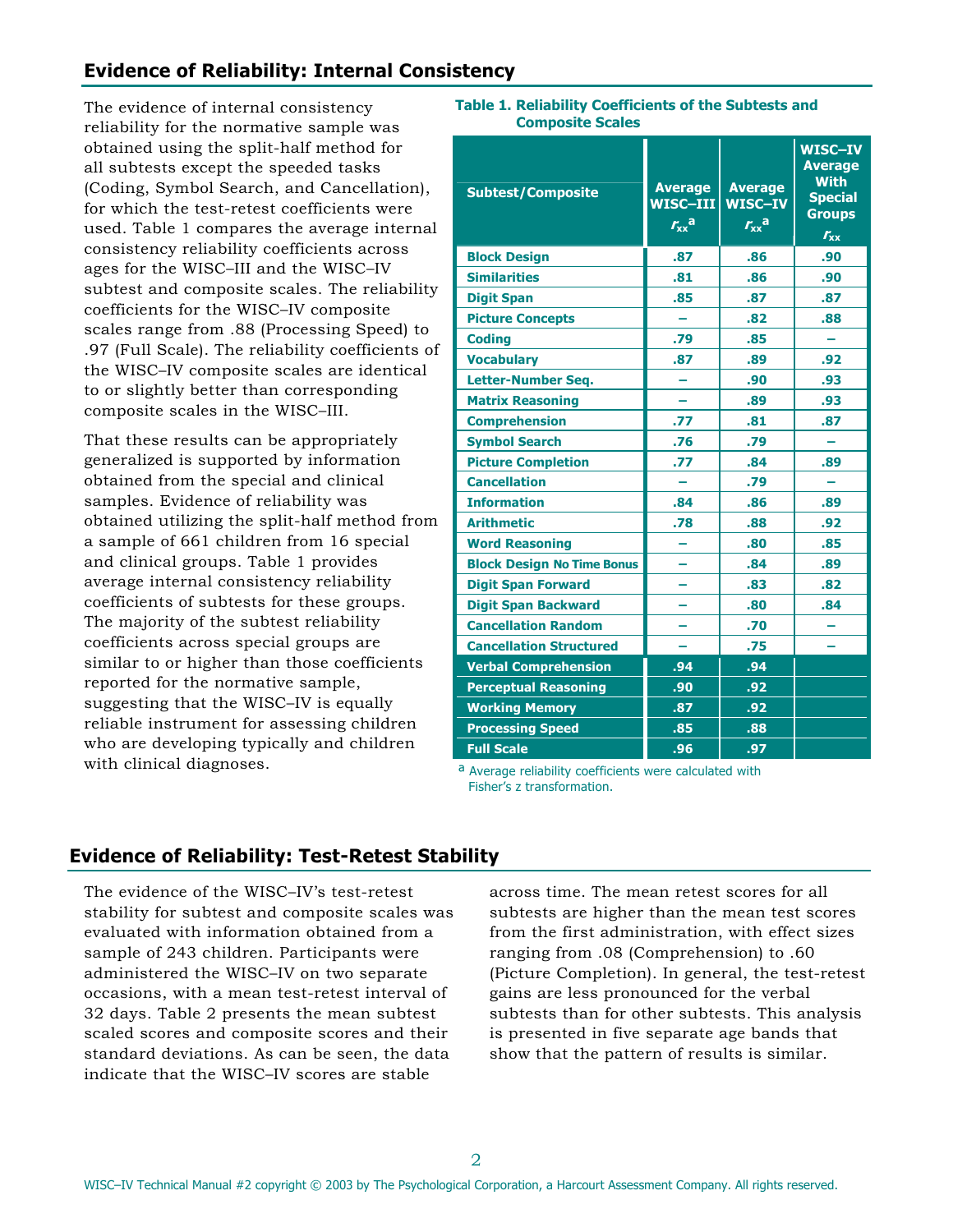## **Evidence of Reliability: Internal Consistency**

The evidence of internal consistency reliability for the normative sample was obtained using the split-half method for all subtests except the speeded tasks (Coding, Symbol Search, and Cancellation), for which the test-retest coefficients were used. Table 1 compares the average internal consistency reliability coefficients across ages for the WISC–III and the WISC–IV subtest and composite scales. The reliability coefficients for the WISC–IV composite scales range from .88 (Processing Speed) to .97 (Full Scale). The reliability coefficients of the WISC–IV composite scales are identical to or slightly better than corresponding composite scales in the WISC–III.

That these results can be appropriately generalized is supported by information obtained from the special and clinical samples. Evidence of reliability was obtained utilizing the split-half method from a sample of 661 children from 16 special and clinical groups. Table 1 provides average internal consistency reliability coefficients of subtests for these groups. The majority of the subtest reliability coefficients across special groups are similar to or higher than those coefficients reported for the normative sample, suggesting that the WISC–IV is equally reliable instrument for assessing children who are developing typically and children with clinical diagnoses.

#### **Table 1. Reliability Coefficients of the Subtests and Composite Scales**

| <b>Subtest/Composite</b>          | <b>Average</b><br>WISC-III<br>$r_{xx}$ <sup>a</sup> | <b>Average</b><br>WISC-IV<br>$r_{xx}$ <sup>a</sup> | WISC-IV<br><b>Average</b><br><b>With</b><br><b>Special</b><br><b>Groups</b><br>$r_{xx}$ |
|-----------------------------------|-----------------------------------------------------|----------------------------------------------------|-----------------------------------------------------------------------------------------|
| <b>Block Design</b>               | .87                                                 | .86                                                | .90                                                                                     |
| <b>Similarities</b>               | .81                                                 | .86                                                | .90                                                                                     |
| <b>Digit Span</b>                 | .85                                                 | .87                                                | .87                                                                                     |
| <b>Picture Concepts</b>           |                                                     | .82                                                | .88                                                                                     |
| <b>Coding</b>                     | .79                                                 | .85                                                |                                                                                         |
| <b>Vocabulary</b>                 | .87                                                 | .89                                                | .92                                                                                     |
| <b>Letter-Number Seg.</b>         |                                                     | .90                                                | .93                                                                                     |
| <b>Matrix Reasoning</b>           |                                                     | .89                                                | .93                                                                                     |
| <b>Comprehension</b>              | .77                                                 | .81                                                | .87                                                                                     |
| <b>Symbol Search</b>              | .76                                                 | .79                                                |                                                                                         |
| <b>Picture Completion</b>         | .77                                                 | .84                                                | .89                                                                                     |
| <b>Cancellation</b>               |                                                     | .79                                                |                                                                                         |
| <b>Information</b>                | .84                                                 | .86                                                | .89                                                                                     |
| <b>Arithmetic</b>                 | .78                                                 | .88                                                | .92                                                                                     |
| <b>Word Reasoning</b>             |                                                     | .80                                                | .85                                                                                     |
| <b>Block Design No Time Bonus</b> |                                                     | .84                                                | .89                                                                                     |
| <b>Digit Span Forward</b>         |                                                     | .83                                                | .82                                                                                     |
| <b>Digit Span Backward</b>        |                                                     | .80                                                | .84                                                                                     |
| <b>Cancellation Random</b>        |                                                     | .70                                                |                                                                                         |
| <b>Cancellation Structured</b>    |                                                     | .75                                                |                                                                                         |
| <b>Verbal Comprehension</b>       | .94                                                 | .94                                                |                                                                                         |
| <b>Perceptual Reasoning</b>       | .90                                                 | .92                                                |                                                                                         |
| <b>Working Memory</b>             | .87                                                 | .92                                                |                                                                                         |
| <b>Processing Speed</b>           | .85                                                 | .88                                                |                                                                                         |
| <b>Full Scale</b>                 | .96                                                 | .97                                                |                                                                                         |

ª Average reliability coefficients were calculated with Fisher's z transformation.

## **Evidence of Reliability: Test-Retest Stability**

The evidence of the WISC–IV's test-retest stability for subtest and composite scales was evaluated with information obtained from a sample of 243 children. Participants were administered the WISC–IV on two separate occasions, with a mean test-retest interval of 32 days. Table 2 presents the mean subtest scaled scores and composite scores and their standard deviations. As can be seen, the data indicate that the WISC–IV scores are stable

across time. The mean retest scores for all subtests are higher than the mean test scores from the first administration, with effect sizes ranging from .08 (Comprehension) to .60 (Picture Completion). In general, the test-retest gains are less pronounced for the verbal subtests than for other subtests. This analysis is presented in five separate age bands that show that the pattern of results is similar.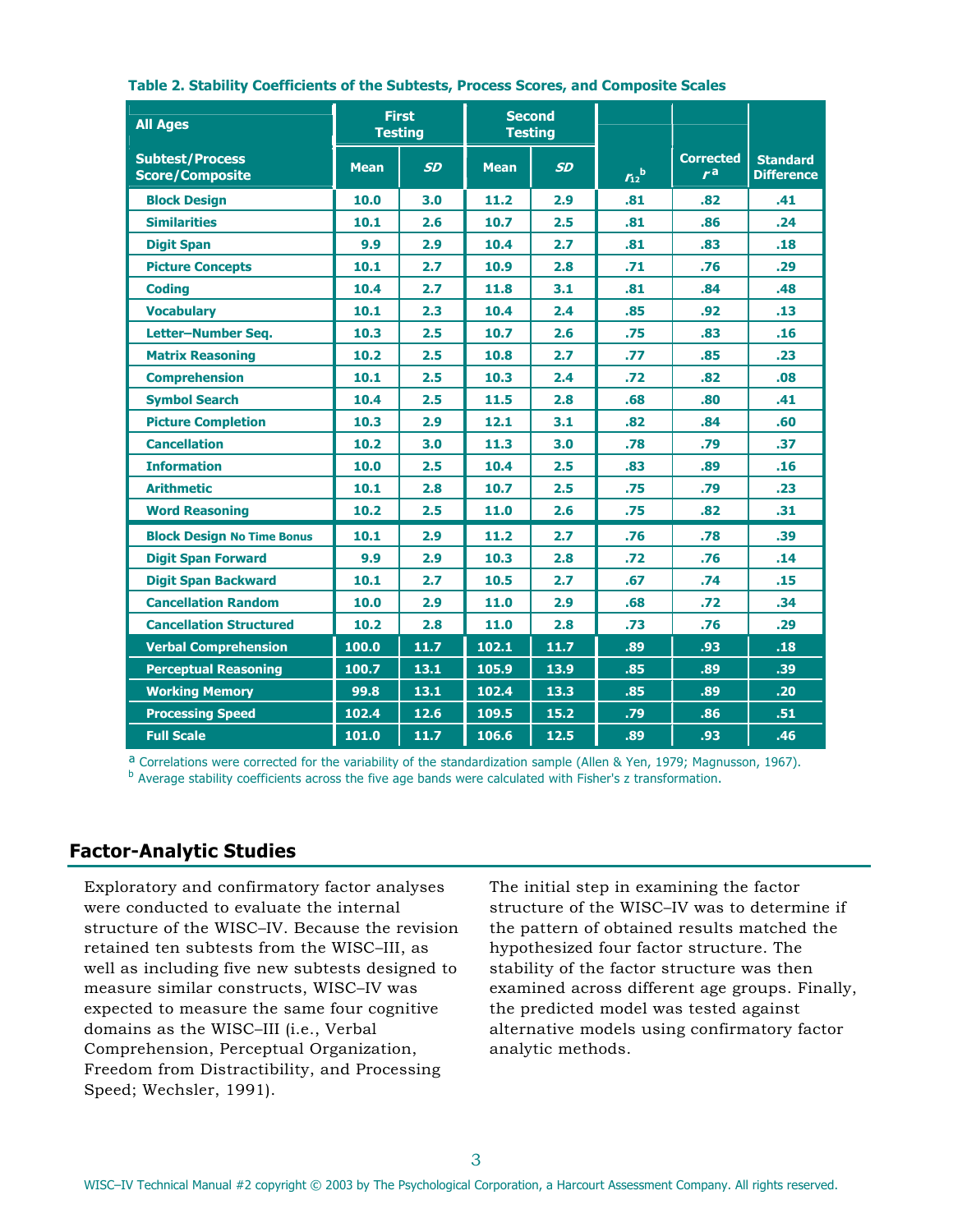| <b>All Ages</b>                                  |             | <b>First</b><br><b>Testing</b> |             | <b>Second</b><br><b>Testing</b> |                |                        |                                      |
|--------------------------------------------------|-------------|--------------------------------|-------------|---------------------------------|----------------|------------------------|--------------------------------------|
| <b>Subtest/Process</b><br><b>Score/Composite</b> | <b>Mean</b> | <b>SD</b>                      | <b>Mean</b> | <b>SD</b>                       | $r_{12}^{\ b}$ | <b>Corrected</b><br>ra | <b>Standard</b><br><b>Difference</b> |
| <b>Block Design</b>                              | 10.0        | 3.0                            | 11.2        | 2.9                             | .81            | .82                    | .41                                  |
| <b>Similarities</b>                              | 10.1        | 2.6                            | 10.7        | 2.5                             | .81            | .86                    | .24                                  |
| <b>Digit Span</b>                                | 9.9         | 2.9                            | 10.4        | 2.7                             | .81            | .83                    | .18                                  |
| <b>Picture Concepts</b>                          | 10.1        | 2.7                            | 10.9        | 2.8                             | .71            | .76                    | .29                                  |
| <b>Coding</b>                                    | 10.4        | 2.7                            | 11.8        | 3.1                             | .81            | .84                    | .48                                  |
| <b>Vocabulary</b>                                | 10.1        | 2.3                            | 10.4        | 2.4                             | .85            | .92                    | .13                                  |
| Letter-Number Seg.                               | 10.3        | 2.5                            | 10.7        | 2.6                             | .75            | .83                    | .16                                  |
| <b>Matrix Reasoning</b>                          | 10.2        | 2.5                            | 10.8        | 2.7                             | .77            | .85                    | .23                                  |
| <b>Comprehension</b>                             | 10.1        | 2.5                            | 10.3        | 2.4                             | .72            | .82                    | .08                                  |
| <b>Symbol Search</b>                             | 10.4        | 2.5                            | 11.5        | 2.8                             | .68            | .80                    | .41                                  |
| <b>Picture Completion</b>                        | 10.3        | 2.9                            | 12.1        | 3.1                             | .82            | .84                    | .60                                  |
| <b>Cancellation</b>                              | 10.2        | 3.0                            | 11.3        | 3.0                             | .78            | .79                    | .37                                  |
| <b>Information</b>                               | 10.0        | 2.5                            | 10.4        | 2.5                             | .83            | .89                    | .16                                  |
| <b>Arithmetic</b>                                | 10.1        | 2.8                            | 10.7        | 2.5                             | .75            | .79                    | .23                                  |
| <b>Word Reasoning</b>                            | 10.2        | 2.5                            | 11.0        | 2.6                             | .75            | .82                    | .31                                  |
| <b>Block Design No Time Bonus</b>                | 10.1        | 2.9                            | 11.2        | 2.7                             | .76            | .78                    | .39                                  |
| <b>Digit Span Forward</b>                        | 9.9         | 2.9                            | 10.3        | 2.8                             | .72            | .76                    | .14                                  |
| <b>Digit Span Backward</b>                       | 10.1        | 2.7                            | 10.5        | 2.7                             | .67            | .74                    | .15                                  |
| <b>Cancellation Random</b>                       | 10.0        | 2.9                            | 11.0        | 2.9                             | .68            | .72                    | .34                                  |
| <b>Cancellation Structured</b>                   | 10.2        | 2.8                            | 11.0        | 2.8                             | .73            | .76                    | .29                                  |
| <b>Verbal Comprehension</b>                      | 100.0       | 11.7                           | 102.1       | 11.7                            | .89            | .93                    | .18                                  |
| <b>Perceptual Reasoning</b>                      | 100.7       | 13.1                           | 105.9       | 13.9                            | .85            | .89                    | .39                                  |
| <b>Working Memory</b>                            | 99.8        | 13.1                           | 102.4       | 13.3                            | .85            | .89                    | .20                                  |
| <b>Processing Speed</b>                          | 102.4       | 12.6                           | 109.5       | 15.2                            | .79            | .86                    | .51                                  |
| <b>Full Scale</b>                                | 101.0       | 11.7                           | 106.6       | 12.5                            | .89            | .93                    | .46                                  |

#### **Table 2. Stability Coefficients of the Subtests, Process Scores, and Composite Scales**

ª Correlations were corrected for the variability of the standardization sample (Allen & Yen, 1979; Magnusson, 1967). b Average stability coefficients across the five age bands were calculated with Fisher's z transformation.

### **Factor-Analytic Studies**

Exploratory and confirmatory factor analyses were conducted to evaluate the internal structure of the WISC–IV. Because the revision retained ten subtests from the WISC–III, as well as including five new subtests designed to measure similar constructs, WISC–IV was expected to measure the same four cognitive domains as the WISC–III (i.e., Verbal Comprehension, Perceptual Organization, Freedom from Distractibility, and Processing Speed; Wechsler, 1991).

The initial step in examining the factor structure of the WISC–IV was to determine if the pattern of obtained results matched the hypothesized four factor structure. The stability of the factor structure was then examined across different age groups. Finally, the predicted model was tested against alternative models using confirmatory factor analytic methods.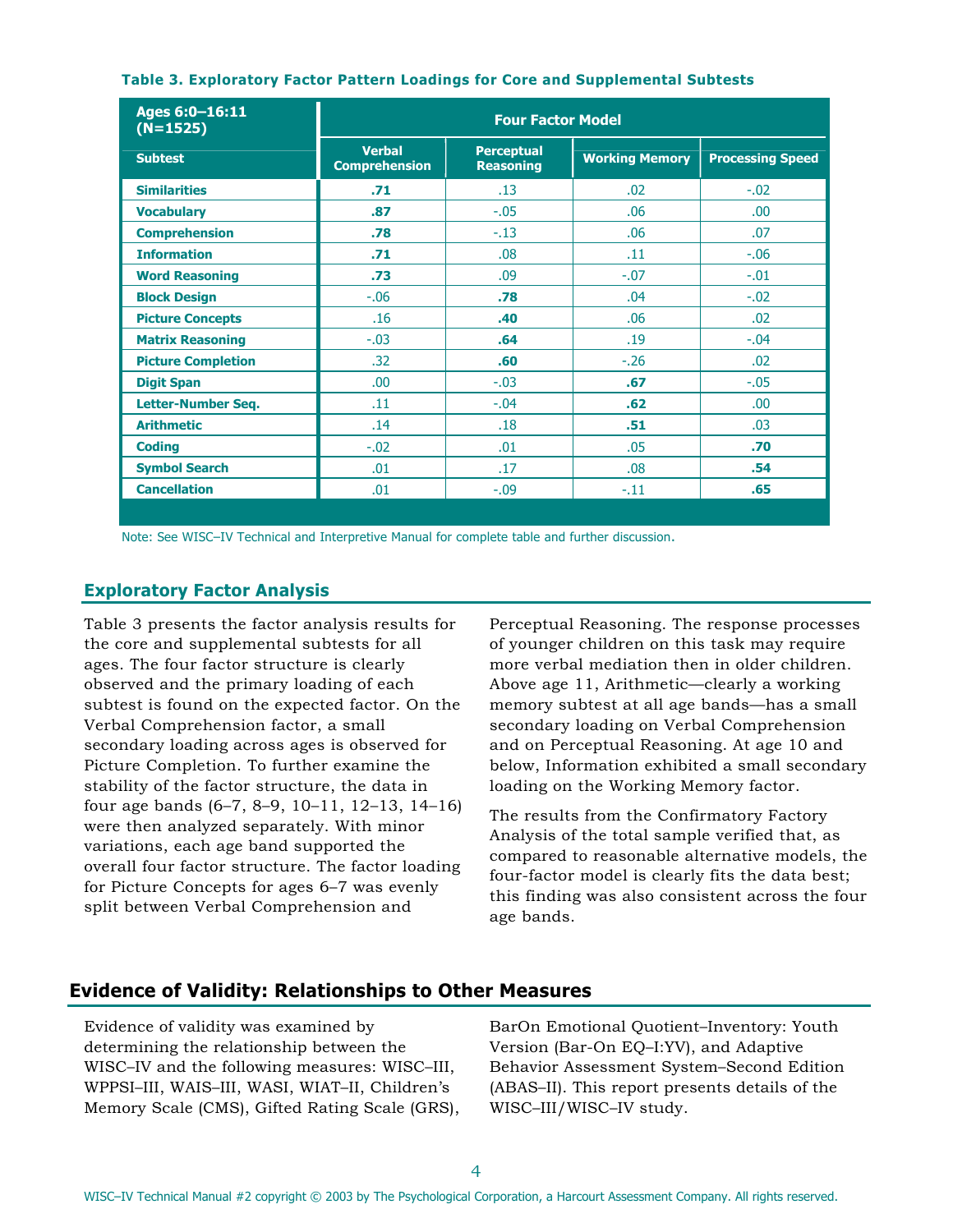| Ages 6:0-16:11<br>$(N=1525)$ | <b>Four Factor Model</b>              |                                       |                       |                         |  |
|------------------------------|---------------------------------------|---------------------------------------|-----------------------|-------------------------|--|
| <b>Subtest</b>               | <b>Verbal</b><br><b>Comprehension</b> | <b>Perceptual</b><br><b>Reasoning</b> | <b>Working Memory</b> | <b>Processing Speed</b> |  |
| <b>Similarities</b>          | .71                                   | .13                                   | .02                   | $-.02$                  |  |
| <b>Vocabulary</b>            | .87                                   | $-.05$                                | .06                   | .00.                    |  |
| <b>Comprehension</b>         | .78                                   | $-.13$                                | .06                   | .07                     |  |
| <b>Information</b>           | .71                                   | .08                                   | .11                   | $-.06$                  |  |
| <b>Word Reasoning</b>        | .73                                   | .09                                   | $-.07$                | $-.01$                  |  |
| <b>Block Design</b>          | $-.06$                                | .78                                   | .04                   | $-.02$                  |  |
| <b>Picture Concepts</b>      | .16                                   | .40                                   | .06                   | .02                     |  |
| <b>Matrix Reasoning</b>      | $-.03$                                | .64                                   | .19                   | $-.04$                  |  |
| <b>Picture Completion</b>    | .32                                   | .60                                   | $-.26$                | .02                     |  |
| <b>Digit Span</b>            | .00.                                  | $-.03$                                | .67                   | $-.05$                  |  |
| Letter-Number Seq.           | .11                                   | $-.04$                                | .62                   | .00.                    |  |
| <b>Arithmetic</b>            | .14                                   | .18                                   | .51                   | .03                     |  |
| <b>Coding</b>                | $-.02$                                | .01                                   | .05                   | .70                     |  |
| <b>Symbol Search</b>         | .01                                   | .17                                   | .08                   | .54                     |  |
| <b>Cancellation</b>          | .01                                   | $-.09$                                | $-.11$                | .65                     |  |
|                              |                                       |                                       |                       |                         |  |

#### **Table 3. Exploratory Factor Pattern Loadings for Core and Supplemental Subtests**

Note: See WISC–IV Technical and Interpretive Manual for complete table and further discussion.

### **Exploratory Factor Analysis**

Table 3 presents the factor analysis results for the core and supplemental subtests for all ages. The four factor structure is clearly observed and the primary loading of each subtest is found on the expected factor. On the Verbal Comprehension factor, a small secondary loading across ages is observed for Picture Completion. To further examine the stability of the factor structure, the data in four age bands (6–7, 8–9, 10–11, 12–13, 14–16) were then analyzed separately. With minor variations, each age band supported the overall four factor structure. The factor loading for Picture Concepts for ages 6–7 was evenly split between Verbal Comprehension and

Perceptual Reasoning. The response processes of younger children on this task may require more verbal mediation then in older children. Above age 11, Arithmetic—clearly a working memory subtest at all age bands—has a small secondary loading on Verbal Comprehension and on Perceptual Reasoning. At age 10 and below, Information exhibited a small secondary loading on the Working Memory factor.

The results from the Confirmatory Factory Analysis of the total sample verified that, as compared to reasonable alternative models, the four-factor model is clearly fits the data best; this finding was also consistent across the four age bands.

### **Evidence of Validity: Relationships to Other Measures**

Evidence of validity was examined by determining the relationship between the WISC–IV and the following measures: WISC–III, WPPSI–III, WAIS–III, WASI, WIAT–II, Children's Memory Scale (CMS), Gifted Rating Scale (GRS), BarOn Emotional Quotient–Inventory: Youth Version (Bar-On EQ–I:YV), and Adaptive Behavior Assessment System–Second Edition (ABAS–II). This report presents details of the WISC–III/WISC–IV study.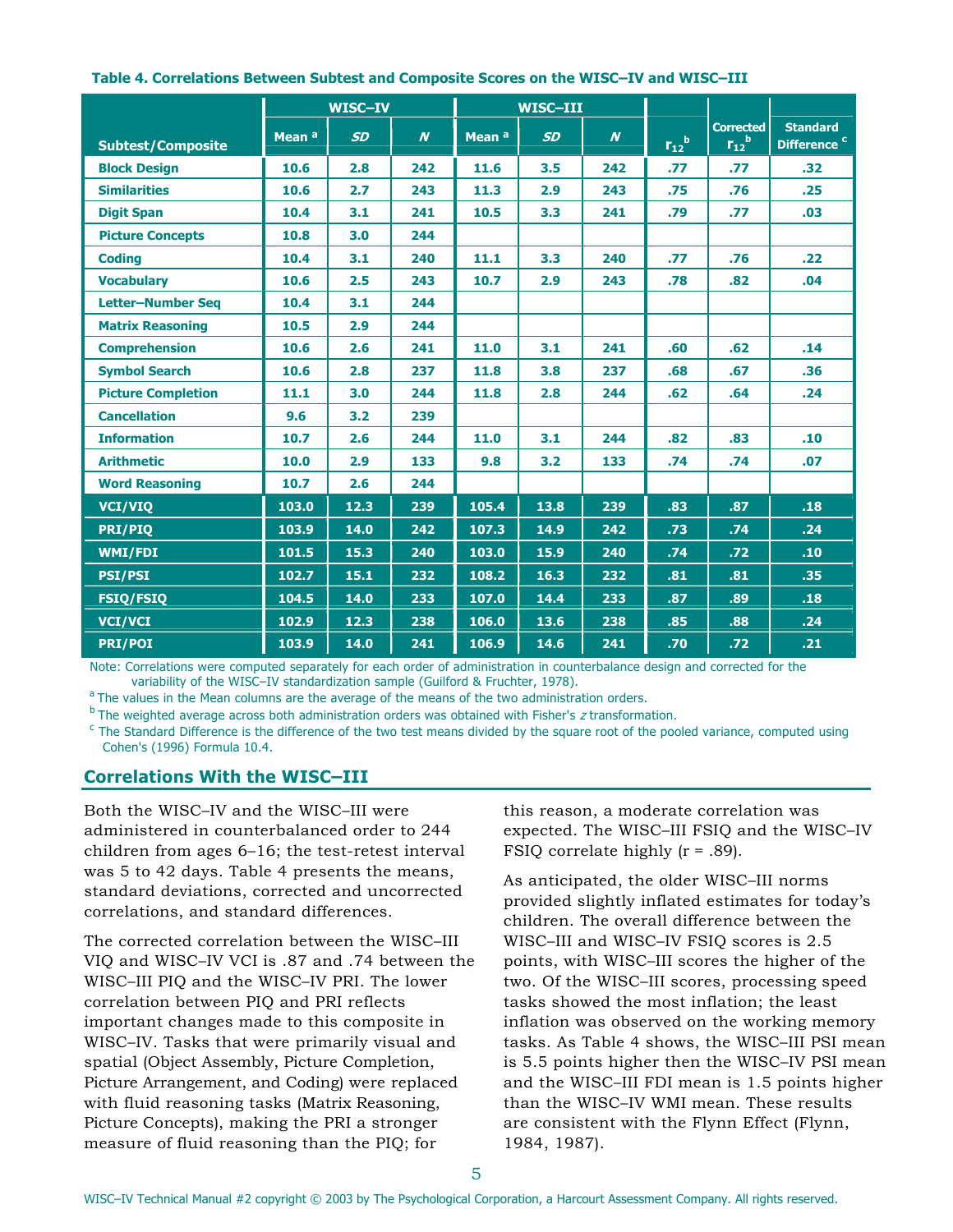|                           |                   | <b>WISC-IV</b> |                  |                   | WISC-III  |                  |                |                                    |                                            |
|---------------------------|-------------------|----------------|------------------|-------------------|-----------|------------------|----------------|------------------------------------|--------------------------------------------|
| <b>Subtest/Composite</b>  | Mean <sup>a</sup> | <b>SD</b>      | $\boldsymbol{N}$ | Mean <sup>a</sup> | <b>SD</b> | $\boldsymbol{N}$ | $r_{12}^{\ b}$ | <b>Corrected</b><br>$r_{12}^{\ b}$ | <b>Standard</b><br>Difference <sup>c</sup> |
| <b>Block Design</b>       | 10.6              | 2.8            | 242              | 11.6              | 3.5       | 242              | .77            | .77                                | .32                                        |
| <b>Similarities</b>       | 10.6              | 2.7            | 243              | 11.3              | 2.9       | 243              | .75            | .76                                | .25                                        |
| <b>Digit Span</b>         | 10.4              | 3.1            | 241              | 10.5              | 3.3       | 241              | .79            | .77                                | .03                                        |
| <b>Picture Concepts</b>   | 10.8              | 3.0            | 244              |                   |           |                  |                |                                    |                                            |
| <b>Coding</b>             | 10.4              | 3.1            | 240              | 11.1              | 3.3       | 240              | .77            | .76                                | .22                                        |
| <b>Vocabulary</b>         | 10.6              | 2.5            | 243              | 10.7              | 2.9       | 243              | .78            | .82                                | .04                                        |
| <b>Letter-Number Sea</b>  | 10.4              | 3.1            | 244              |                   |           |                  |                |                                    |                                            |
| <b>Matrix Reasoning</b>   | 10.5              | 2.9            | 244              |                   |           |                  |                |                                    |                                            |
| <b>Comprehension</b>      | 10.6              | 2.6            | 241              | 11.0              | 3.1       | 241              | .60            | .62                                | .14                                        |
| <b>Symbol Search</b>      | 10.6              | 2.8            | 237              | 11.8              | 3.8       | 237              | .68            | .67                                | .36                                        |
| <b>Picture Completion</b> | 11.1              | 3.0            | 244              | 11.8              | 2.8       | 244              | .62            | .64                                | .24                                        |
| <b>Cancellation</b>       | 9.6               | 3.2            | 239              |                   |           |                  |                |                                    |                                            |
| <b>Information</b>        | 10.7              | 2.6            | 244              | 11.0              | 3.1       | 244              | .82            | .83                                | .10                                        |
| <b>Arithmetic</b>         | 10.0              | 2.9            | 133              | 9.8               | 3.2       | 133              | .74            | .74                                | .07                                        |
| <b>Word Reasoning</b>     | 10.7              | 2.6            | 244              |                   |           |                  |                |                                    |                                            |
| <b>VCI/VIQ</b>            | 103.0             | 12.3           | 239              | 105.4             | 13.8      | 239              | .83            | .87                                | .18                                        |
| <b>PRI/PIO</b>            | 103.9             | 14.0           | 242              | 107.3             | 14.9      | 242              | .73            | .74                                | .24                                        |
| <b>WMI/FDI</b>            | 101.5             | 15.3           | 240              | 103.0             | 15.9      | 240              | .74            | .72                                | .10 <sub>1</sub>                           |
| <b>PSI/PSI</b>            | 102.7             | 15.1           | 232              | 108.2             | 16.3      | 232              | .81            | .81                                | .35                                        |
| <b>FSIQ/FSIQ</b>          | 104.5             | 14.0           | 233              | 107.0             | 14.4      | 233              | .87            | .89                                | .18                                        |
| <b>VCI/VCI</b>            | 102.9             | 12.3           | 238              | 106.0             | 13.6      | 238              | .85            | .88                                | .24                                        |
| <b>PRI/POI</b>            | 103.9             | 14.0           | 241              | 106.9             | 14.6      | 241              | .70            | .72                                | .21                                        |

#### **Table 4. Correlations Between Subtest and Composite Scores on the WISC–IV and WISC–III**

Note: Correlations were computed separately for each order of administration in counterbalance design and corrected for the

variability of the WISC–IV standardization sample (Guilford & Fruchter, 1978).<br><sup>a</sup> The values in the Mean columns are the average of the means of the two administration orders.

 $<sup>b</sup>$  The weighted average across both administration orders was obtained with Fisher's  $z$  transformation.</sup>

 $\rm{c}$  The Standard Difference is the difference of the two test means divided by the square root of the pooled variance, computed using Cohen's (1996) Formula 10.4.

#### **Correlations With the WISC–III**

Both the WISC–IV and the WISC–III were administered in counterbalanced order to 244 children from ages 6–16; the test-retest interval was 5 to 42 days. Table 4 presents the means, standard deviations, corrected and uncorrected correlations, and standard differences.

The corrected correlation between the WISC–III VIQ and WISC–IV VCI is .87 and .74 between the WISC–III PIQ and the WISC–IV PRI. The lower correlation between PIQ and PRI reflects important changes made to this composite in WISC–IV. Tasks that were primarily visual and spatial (Object Assembly, Picture Completion, Picture Arrangement, and Coding) were replaced with fluid reasoning tasks (Matrix Reasoning, Picture Concepts), making the PRI a stronger measure of fluid reasoning than the PIQ; for

this reason, a moderate correlation was expected. The WISC–III FSIQ and the WISC–IV FSIQ correlate highly (r = .89).

As anticipated, the older WISC–III norms provided slightly inflated estimates for today's children. The overall difference between the WISC–III and WISC–IV FSIQ scores is 2.5 points, with WISC–III scores the higher of the two. Of the WISC–III scores, processing speed tasks showed the most inflation; the least inflation was observed on the working memory tasks. As Table 4 shows, the WISC–III PSI mean is 5.5 points higher then the WISC–IV PSI mean and the WISC–III FDI mean is 1.5 points higher than the WISC–IV WMI mean. These results are consistent with the Flynn Effect (Flynn, 1984, 1987).